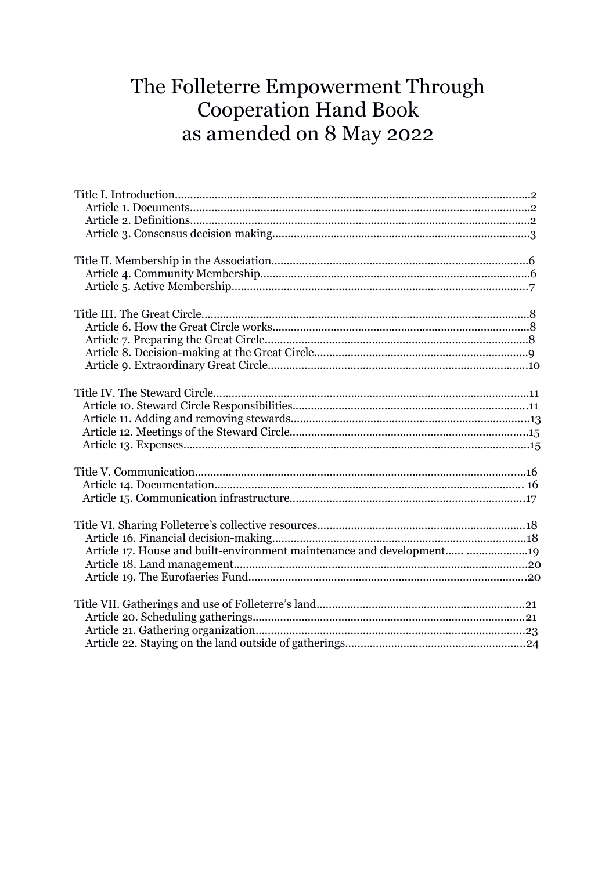# The Folleterre Empowerment Through **Cooperation Hand Book** as amended on 8 May 2022

| Article 17. House and built-environment maintenance and development 19 |
|------------------------------------------------------------------------|
|                                                                        |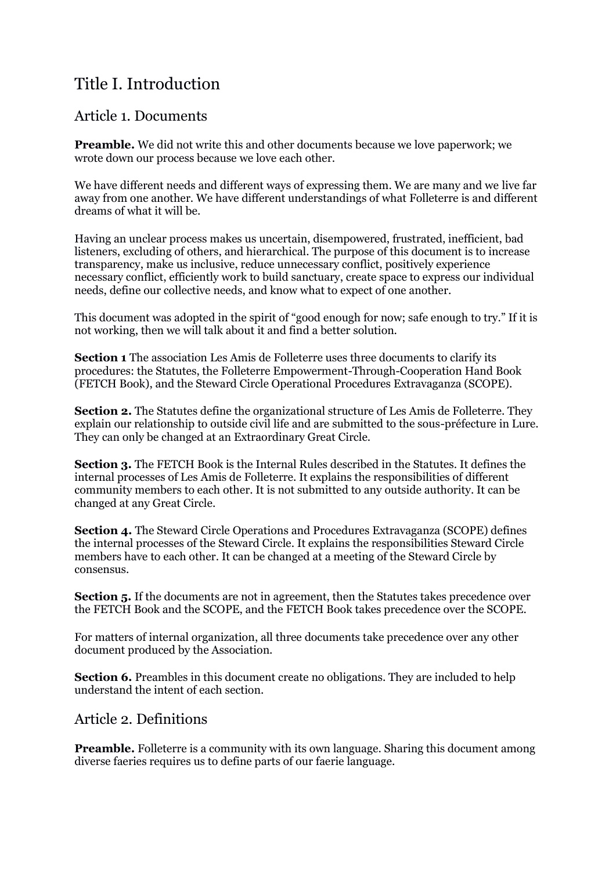# Title I. Introduction

#### Article 1. Documents

**Preamble.** We did not write this and other documents because we love paperwork; we wrote down our process because we love each other.

We have different needs and different ways of expressing them. We are many and we live far away from one another. We have different understandings of what Folleterre is and different dreams of what it will be.

Having an unclear process makes us uncertain, disempowered, frustrated, inefficient, bad listeners, excluding of others, and hierarchical. The purpose of this document is to increase transparency, make us inclusive, reduce unnecessary conflict, positively experience necessary conflict, efficiently work to build sanctuary, create space to express our individual needs, define our collective needs, and know what to expect of one another.

This document was adopted in the spirit of "good enough for now; safe enough to try." If it is not working, then we will talk about it and find a better solution.

**Section 1** The association Les Amis de Folleterre uses three documents to clarify its procedures: the Statutes, the Folleterre Empowerment-Through-Cooperation Hand Book (FETCH Book), and the Steward Circle Operational Procedures Extravaganza (SCOPE).

**Section 2.** The Statutes define the organizational structure of Les Amis de Folleterre. They explain our relationship to outside civil life and are submitted to the sous-préfecture in Lure. They can only be changed at an Extraordinary Great Circle.

**Section 3.** The FETCH Book is the Internal Rules described in the Statutes. It defines the internal processes of Les Amis de Folleterre. It explains the responsibilities of different community members to each other. It is not submitted to any outside authority. It can be changed at any Great Circle.

**Section 4.** The Steward Circle Operations and Procedures Extravaganza (SCOPE) defines the internal processes of the Steward Circle. It explains the responsibilities Steward Circle members have to each other. It can be changed at a meeting of the Steward Circle by consensus.

**Section 5.** If the documents are not in agreement, then the Statutes takes precedence over the FETCH Book and the SCOPE, and the FETCH Book takes precedence over the SCOPE.

For matters of internal organization, all three documents take precedence over any other document produced by the Association.

**Section 6.** Preambles in this document create no obligations. They are included to help understand the intent of each section.

#### Article 2. Definitions

**Preamble.** Folleterre is a community with its own language. Sharing this document among diverse faeries requires us to define parts of our faerie language.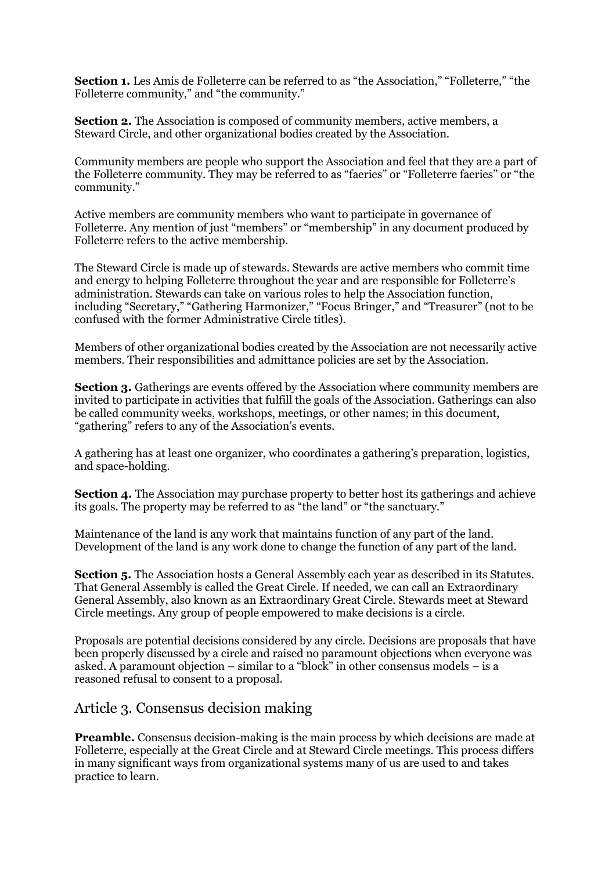**Section 1.** Les Amis de Folleterre can be referred to as "the Association," "Folleterre," "the Folleterre community," and "the community."

**Section 2.** The Association is composed of community members, active members, a Steward Circle, and other organizational bodies created by the Association.

Community members are people who support the Association and feel that they are a part of the Folleterre community. They may be referred to as "faeries" or "Folleterre faeries" or "the community."

Active members are community members who want to participate in governance of Folleterre. Any mention of just "members" or "membership" in any document produced by Folleterre refers to the active membership.

The Steward Circle is made up of stewards. Stewards are active members who commit time and energy to helping Folleterre throughout the year and are responsible for Folleterre's administration. Stewards can take on various roles to help the Association function, including "Secretary," "Gathering Harmonizer," "Focus Bringer," and "Treasurer" (not to be confused with the former Administrative Circle titles).

Members of other organizational bodies created by the Association are not necessarily active members. Their responsibilities and admittance policies are set by the Association.

**Section 3.** Gatherings are events offered by the Association where community members are invited to participate in activities that fulfill the goals of the Association. Gatherings can also be called community weeks, workshops, meetings, or other names; in this document, "gathering" refers to any of the Association's events.

A gathering has at least one organizer, who coordinates a gathering's preparation, logistics, and space-holding.

**Section 4.** The Association may purchase property to better host its gatherings and achieve its goals. The property may be referred to as "the land" or "the sanctuary."

Maintenance of the land is any work that maintains function of any part of the land. Development of the land is any work done to change the function of any part of the land.

**Section 5.** The Association hosts a General Assembly each year as described in its Statutes. That General Assembly is called the Great Circle. If needed, we can call an Extraordinary General Assembly, also known as an Extraordinary Great Circle. Stewards meet at Steward Circle meetings. Any group of people empowered to make decisions is a circle.

Proposals are potential decisions considered by any circle. Decisions are proposals that have been properly discussed by a circle and raised no paramount objections when everyone was asked. A paramount objection – similar to a "block" in other consensus models – is a reasoned refusal to consent to a proposal.

#### Article 3. Consensus decision making

**Preamble.** Consensus decision-making is the main process by which decisions are made at Folleterre, especially at the Great Circle and at Steward Circle meetings. This process differs in many significant ways from organizational systems many of us are used to and takes practice to learn.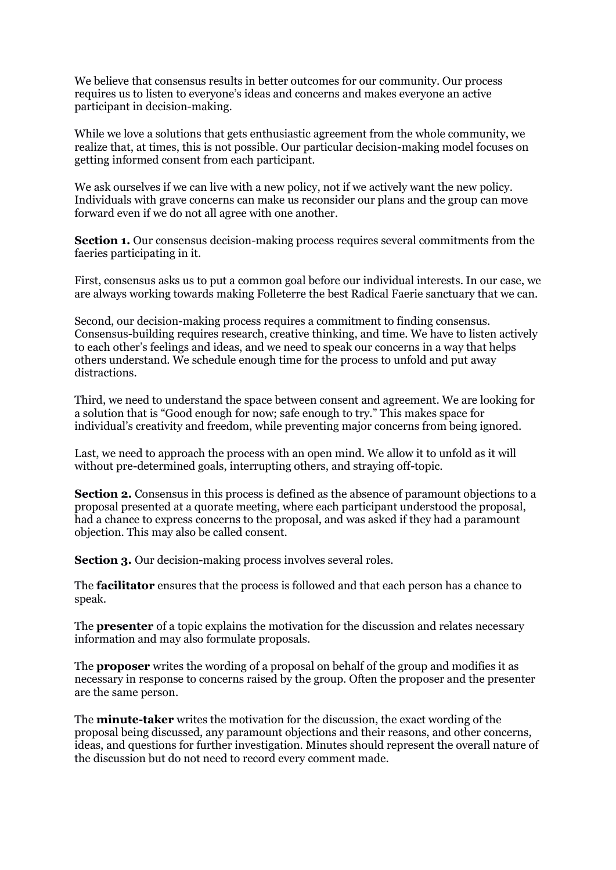We believe that consensus results in better outcomes for our community. Our process requires us to listen to everyone's ideas and concerns and makes everyone an active participant in decision-making.

While we love a solutions that gets enthusiastic agreement from the whole community, we realize that, at times, this is not possible. Our particular decision-making model focuses on getting informed consent from each participant.

We ask ourselves if we can live with a new policy, not if we actively want the new policy. Individuals with grave concerns can make us reconsider our plans and the group can move forward even if we do not all agree with one another.

**Section 1.** Our consensus decision-making process requires several commitments from the faeries participating in it.

First, consensus asks us to put a common goal before our individual interests. In our case, we are always working towards making Folleterre the best Radical Faerie sanctuary that we can.

Second, our decision-making process requires a commitment to finding consensus. Consensus-building requires research, creative thinking, and time. We have to listen actively to each other's feelings and ideas, and we need to speak our concerns in a way that helps others understand. We schedule enough time for the process to unfold and put away distractions.

Third, we need to understand the space between consent and agreement. We are looking for a solution that is "Good enough for now; safe enough to try." This makes space for individual's creativity and freedom, while preventing major concerns from being ignored.

Last, we need to approach the process with an open mind. We allow it to unfold as it will without pre-determined goals, interrupting others, and straying off-topic.

**Section 2.** Consensus in this process is defined as the absence of paramount objections to a proposal presented at a quorate meeting, where each participant understood the proposal, had a chance to express concerns to the proposal, and was asked if they had a paramount objection. This may also be called consent.

**Section 3.** Our decision-making process involves several roles.

The **facilitator** ensures that the process is followed and that each person has a chance to speak.

The **presenter** of a topic explains the motivation for the discussion and relates necessary information and may also formulate proposals.

The **proposer** writes the wording of a proposal on behalf of the group and modifies it as necessary in response to concerns raised by the group. Often the proposer and the presenter are the same person.

The **minute-taker** writes the motivation for the discussion, the exact wording of the proposal being discussed, any paramount objections and their reasons, and other concerns, ideas, and questions for further investigation. Minutes should represent the overall nature of the discussion but do not need to record every comment made.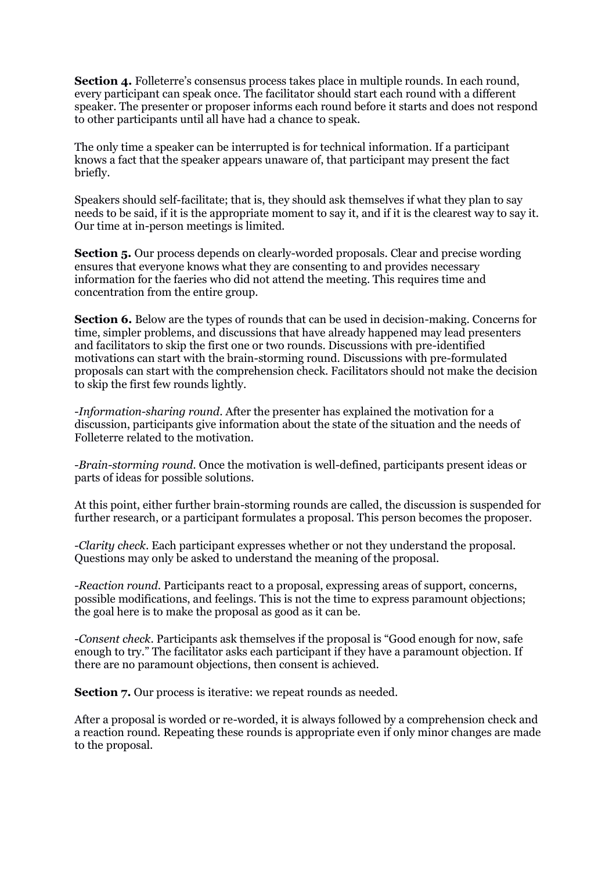**Section 4.** Folleterre's consensus process takes place in multiple rounds. In each round, every participant can speak once. The facilitator should start each round with a different speaker. The presenter or proposer informs each round before it starts and does not respond to other participants until all have had a chance to speak.

The only time a speaker can be interrupted is for technical information. If a participant knows a fact that the speaker appears unaware of, that participant may present the fact briefly.

Speakers should self-facilitate; that is, they should ask themselves if what they plan to say needs to be said, if it is the appropriate moment to say it, and if it is the clearest way to say it. Our time at in-person meetings is limited.

**Section 5.** Our process depends on clearly-worded proposals. Clear and precise wording ensures that everyone knows what they are consenting to and provides necessary information for the faeries who did not attend the meeting. This requires time and concentration from the entire group.

**Section 6.** Below are the types of rounds that can be used in decision-making. Concerns for time, simpler problems, and discussions that have already happened may lead presenters and facilitators to skip the first one or two rounds. Discussions with pre-identified motivations can start with the brain-storming round. Discussions with pre-formulated proposals can start with the comprehension check. Facilitators should not make the decision to skip the first few rounds lightly.

-*Information-sharing round*. After the presenter has explained the motivation for a discussion, participants give information about the state of the situation and the needs of Folleterre related to the motivation.

-*Brain-storming round*. Once the motivation is well-defined, participants present ideas or parts of ideas for possible solutions.

At this point, either further brain-storming rounds are called, the discussion is suspended for further research, or a participant formulates a proposal. This person becomes the proposer.

-*Clarity check*. Each participant expresses whether or not they understand the proposal. Questions may only be asked to understand the meaning of the proposal.

-*Reaction round*. Participants react to a proposal, expressing areas of support, concerns, possible modifications, and feelings. This is not the time to express paramount objections; the goal here is to make the proposal as good as it can be.

-*Consent check*. Participants ask themselves if the proposal is "Good enough for now, safe enough to try." The facilitator asks each participant if they have a paramount objection. If there are no paramount objections, then consent is achieved.

**Section 7.** Our process is iterative: we repeat rounds as needed.

After a proposal is worded or re-worded, it is always followed by a comprehension check and a reaction round. Repeating these rounds is appropriate even if only minor changes are made to the proposal.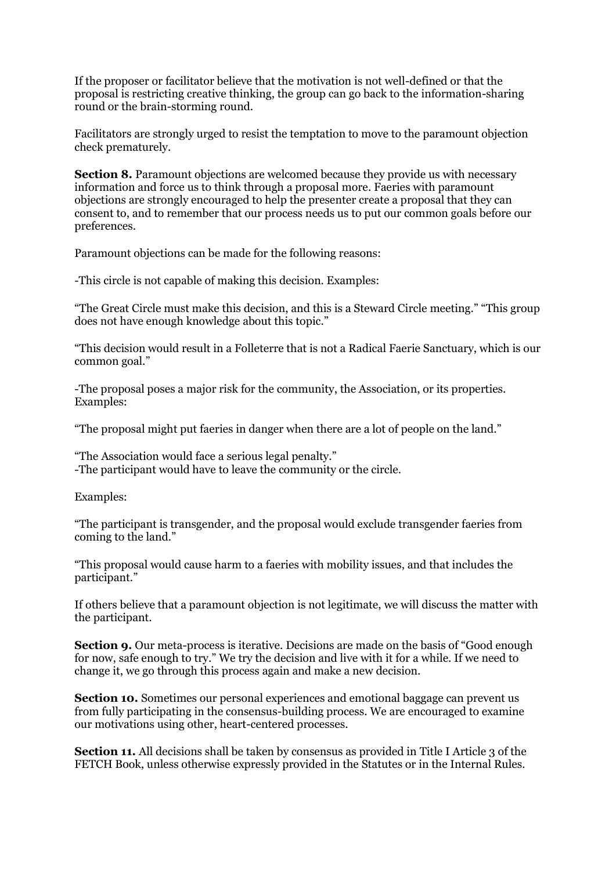If the proposer or facilitator believe that the motivation is not well-defined or that the proposal is restricting creative thinking, the group can go back to the information-sharing round or the brain-storming round.

Facilitators are strongly urged to resist the temptation to move to the paramount objection check prematurely.

**Section 8.** Paramount objections are welcomed because they provide us with necessary information and force us to think through a proposal more. Faeries with paramount objections are strongly encouraged to help the presenter create a proposal that they can consent to, and to remember that our process needs us to put our common goals before our preferences.

Paramount objections can be made for the following reasons:

-This circle is not capable of making this decision. Examples:

"The Great Circle must make this decision, and this is a Steward Circle meeting." "This group does not have enough knowledge about this topic."

"This decision would result in a Folleterre that is not a Radical Faerie Sanctuary, which is our common goal."

-The proposal poses a major risk for the community, the Association, or its properties. Examples:

"The proposal might put faeries in danger when there are a lot of people on the land."

"The Association would face a serious legal penalty."

-The participant would have to leave the community or the circle.

Examples:

"The participant is transgender, and the proposal would exclude transgender faeries from coming to the land."

"This proposal would cause harm to a faeries with mobility issues, and that includes the participant."

If others believe that a paramount objection is not legitimate, we will discuss the matter with the participant.

**Section 9.** Our meta-process is iterative. Decisions are made on the basis of "Good enough for now, safe enough to try." We try the decision and live with it for a while. If we need to change it, we go through this process again and make a new decision.

**Section 10.** Sometimes our personal experiences and emotional baggage can prevent us from fully participating in the consensus-building process. We are encouraged to examine our motivations using other, heart-centered processes.

**Section 11.** All decisions shall be taken by consensus as provided in Title I Article 3 of the FETCH Book, unless otherwise expressly provided in the Statutes or in the Internal Rules.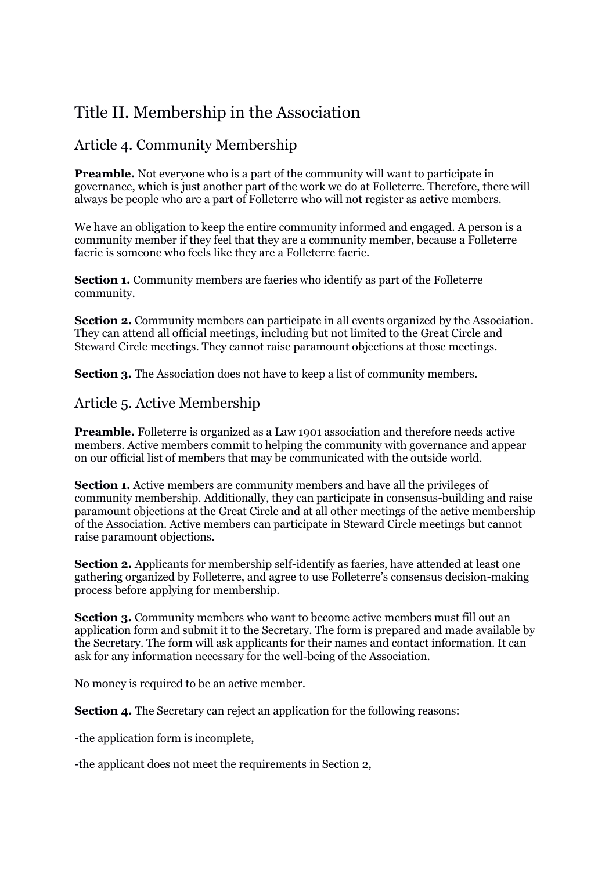# Title II. Membership in the Association

### Article 4. Community Membership

**Preamble.** Not everyone who is a part of the community will want to participate in governance, which is just another part of the work we do at Folleterre. Therefore, there will always be people who are a part of Folleterre who will not register as active members.

We have an obligation to keep the entire community informed and engaged. A person is a community member if they feel that they are a community member, because a Folleterre faerie is someone who feels like they are a Folleterre faerie.

**Section 1.** Community members are faeries who identify as part of the Folleterre community.

**Section 2.** Community members can participate in all events organized by the Association. They can attend all official meetings, including but not limited to the Great Circle and Steward Circle meetings. They cannot raise paramount objections at those meetings.

**Section 3.** The Association does not have to keep a list of community members.

#### Article 5. Active Membership

**Preamble.** Folleterre is organized as a Law 1901 association and therefore needs active members. Active members commit to helping the community with governance and appear on our official list of members that may be communicated with the outside world.

**Section 1.** Active members are community members and have all the privileges of community membership. Additionally, they can participate in consensus-building and raise paramount objections at the Great Circle and at all other meetings of the active membership of the Association. Active members can participate in Steward Circle meetings but cannot raise paramount objections.

**Section 2.** Applicants for membership self-identify as faeries, have attended at least one gathering organized by Folleterre, and agree to use Folleterre's consensus decision-making process before applying for membership.

**Section 3.** Community members who want to become active members must fill out an application form and submit it to the Secretary. The form is prepared and made available by the Secretary. The form will ask applicants for their names and contact information. It can ask for any information necessary for the well-being of the Association.

No money is required to be an active member.

**Section 4.** The Secretary can reject an application for the following reasons:

-the application form is incomplete,

-the applicant does not meet the requirements in Section 2,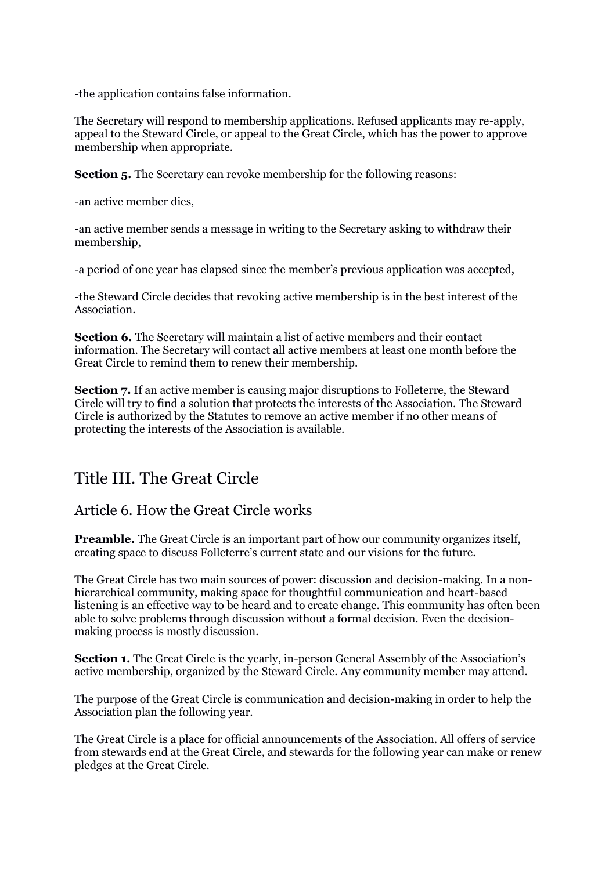-the application contains false information.

The Secretary will respond to membership applications. Refused applicants may re-apply, appeal to the Steward Circle, or appeal to the Great Circle, which has the power to approve membership when appropriate.

**Section 5.** The Secretary can revoke membership for the following reasons:

-an active member dies,

-an active member sends a message in writing to the Secretary asking to withdraw their membership,

-a period of one year has elapsed since the member's previous application was accepted,

-the Steward Circle decides that revoking active membership is in the best interest of the Association.

**Section 6.** The Secretary will maintain a list of active members and their contact information. The Secretary will contact all active members at least one month before the Great Circle to remind them to renew their membership.

**Section 7.** If an active member is causing major disruptions to Folleterre, the Steward Circle will try to find a solution that protects the interests of the Association. The Steward Circle is authorized by the Statutes to remove an active member if no other means of protecting the interests of the Association is available.

### Title III. The Great Circle

#### Article 6. How the Great Circle works

**Preamble.** The Great Circle is an important part of how our community organizes itself, creating space to discuss Folleterre's current state and our visions for the future.

The Great Circle has two main sources of power: discussion and decision-making. In a nonhierarchical community, making space for thoughtful communication and heart-based listening is an effective way to be heard and to create change. This community has often been able to solve problems through discussion without a formal decision. Even the decisionmaking process is mostly discussion.

**Section 1.** The Great Circle is the yearly, in-person General Assembly of the Association's active membership, organized by the Steward Circle. Any community member may attend.

The purpose of the Great Circle is communication and decision-making in order to help the Association plan the following year.

The Great Circle is a place for official announcements of the Association. All offers of service from stewards end at the Great Circle, and stewards for the following year can make or renew pledges at the Great Circle.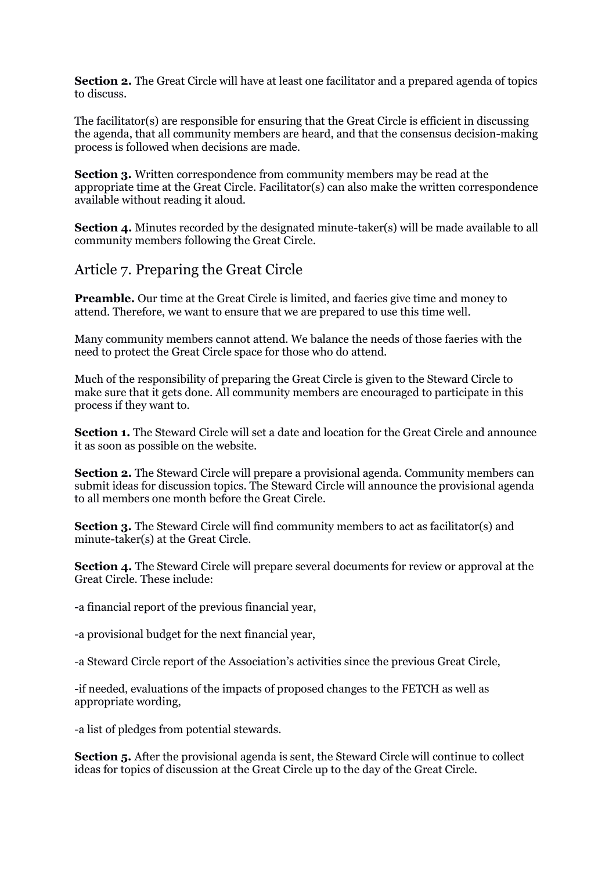**Section 2.** The Great Circle will have at least one facilitator and a prepared agenda of topics to discuss.

The facilitator(s) are responsible for ensuring that the Great Circle is efficient in discussing the agenda, that all community members are heard, and that the consensus decision-making process is followed when decisions are made.

**Section 3.** Written correspondence from community members may be read at the appropriate time at the Great Circle. Facilitator(s) can also make the written correspondence available without reading it aloud.

**Section 4.** Minutes recorded by the designated minute-taker(s) will be made available to all community members following the Great Circle.

#### Article 7. Preparing the Great Circle

**Preamble.** Our time at the Great Circle is limited, and faeries give time and money to attend. Therefore, we want to ensure that we are prepared to use this time well.

Many community members cannot attend. We balance the needs of those faeries with the need to protect the Great Circle space for those who do attend.

Much of the responsibility of preparing the Great Circle is given to the Steward Circle to make sure that it gets done. All community members are encouraged to participate in this process if they want to.

**Section 1.** The Steward Circle will set a date and location for the Great Circle and announce it as soon as possible on the website.

**Section 2.** The Steward Circle will prepare a provisional agenda. Community members can submit ideas for discussion topics. The Steward Circle will announce the provisional agenda to all members one month before the Great Circle.

**Section 3.** The Steward Circle will find community members to act as facilitator(s) and minute-taker(s) at the Great Circle.

**Section 4.** The Steward Circle will prepare several documents for review or approval at the Great Circle. These include:

-a financial report of the previous financial year,

-a provisional budget for the next financial year,

-a Steward Circle report of the Association's activities since the previous Great Circle,

-if needed, evaluations of the impacts of proposed changes to the FETCH as well as appropriate wording,

-a list of pledges from potential stewards.

**Section 5.** After the provisional agenda is sent, the Steward Circle will continue to collect ideas for topics of discussion at the Great Circle up to the day of the Great Circle.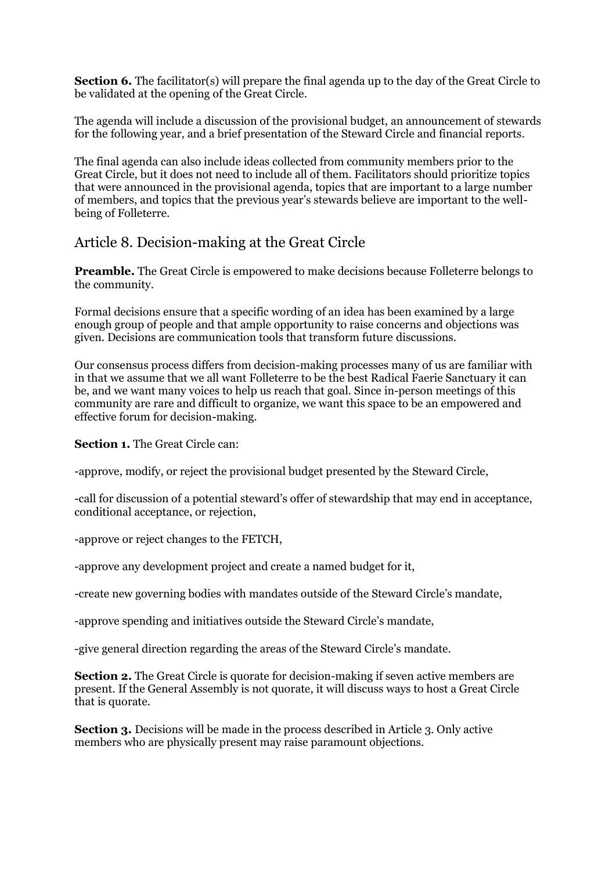**Section 6.** The facilitator(s) will prepare the final agenda up to the day of the Great Circle to be validated at the opening of the Great Circle.

The agenda will include a discussion of the provisional budget, an announcement of stewards for the following year, and a brief presentation of the Steward Circle and financial reports.

The final agenda can also include ideas collected from community members prior to the Great Circle, but it does not need to include all of them. Facilitators should prioritize topics that were announced in the provisional agenda, topics that are important to a large number of members, and topics that the previous year's stewards believe are important to the wellbeing of Folleterre.

#### Article 8. Decision-making at the Great Circle

**Preamble.** The Great Circle is empowered to make decisions because Folleterre belongs to the community.

Formal decisions ensure that a specific wording of an idea has been examined by a large enough group of people and that ample opportunity to raise concerns and objections was given. Decisions are communication tools that transform future discussions.

Our consensus process differs from decision-making processes many of us are familiar with in that we assume that we all want Folleterre to be the best Radical Faerie Sanctuary it can be, and we want many voices to help us reach that goal. Since in-person meetings of this community are rare and difficult to organize, we want this space to be an empowered and effective forum for decision-making.

**Section 1.** The Great Circle can:

-approve, modify, or reject the provisional budget presented by the Steward Circle,

-call for discussion of a potential steward's offer of stewardship that may end in acceptance, conditional acceptance, or rejection,

-approve or reject changes to the FETCH,

-approve any development project and create a named budget for it,

-create new governing bodies with mandates outside of the Steward Circle's mandate,

-approve spending and initiatives outside the Steward Circle's mandate,

-give general direction regarding the areas of the Steward Circle's mandate.

**Section 2.** The Great Circle is quorate for decision-making if seven active members are present. If the General Assembly is not quorate, it will discuss ways to host a Great Circle that is quorate.

**Section 3.** Decisions will be made in the process described in Article 3. Only active members who are physically present may raise paramount objections.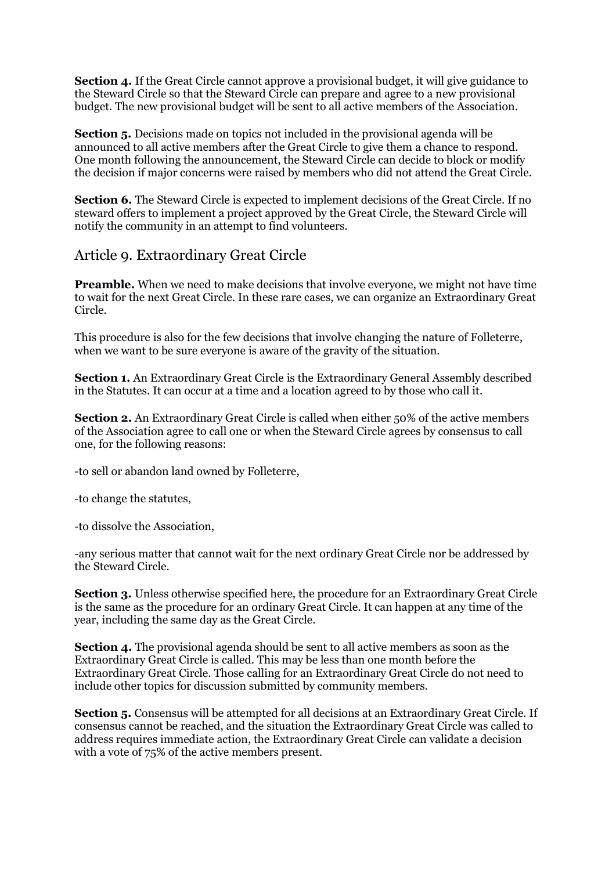**Section 4.** If the Great Circle cannot approve a provisional budget, it will give guidance to the Steward Circle so that the Steward Circle can prepare and agree to a new provisional budget. The new provisional budget will be sent to all active members of the Association.

**Section 5.** Decisions made on topics not included in the provisional agenda will be announced to all active members after the Great Circle to give them a chance to respond. One month following the announcement, the Steward Circle can decide to block or modify the decision if major concerns were raised by members who did not attend the Great Circle.

**Section 6.** The Steward Circle is expected to implement decisions of the Great Circle. If no steward offers to implement a project approved by the Great Circle, the Steward Circle will notify the community in an attempt to find volunteers.

#### Article 9. Extraordinary Great Circle

**Preamble.** When we need to make decisions that involve everyone, we might not have time to wait for the next Great Circle. In these rare cases, we can organize an Extraordinary Great Circle.

This procedure is also for the few decisions that involve changing the nature of Folleterre, when we want to be sure everyone is aware of the gravity of the situation.

**Section 1.** An Extraordinary Great Circle is the Extraordinary General Assembly described in the Statutes. It can occur at a time and a location agreed to by those who call it.

**Section 2.** An Extraordinary Great Circle is called when either 50% of the active members of the Association agree to call one or when the Steward Circle agrees by consensus to call one, for the following reasons:

-to sell or abandon land owned by Folleterre,

-to change the statutes,

-to dissolve the Association,

-any serious matter that cannot wait for the next ordinary Great Circle nor be addressed by the Steward Circle.

**Section 3.** Unless otherwise specified here, the procedure for an Extraordinary Great Circle is the same as the procedure for an ordinary Great Circle. It can happen at any time of the year, including the same day as the Great Circle.

**Section 4.** The provisional agenda should be sent to all active members as soon as the Extraordinary Great Circle is called. This may be less than one month before the Extraordinary Great Circle. Those calling for an Extraordinary Great Circle do not need to include other topics for discussion submitted by community members.

**Section 5.** Consensus will be attempted for all decisions at an Extraordinary Great Circle. If consensus cannot be reached, and the situation the Extraordinary Great Circle was called to address requires immediate action, the Extraordinary Great Circle can validate a decision with a vote of 75% of the active members present.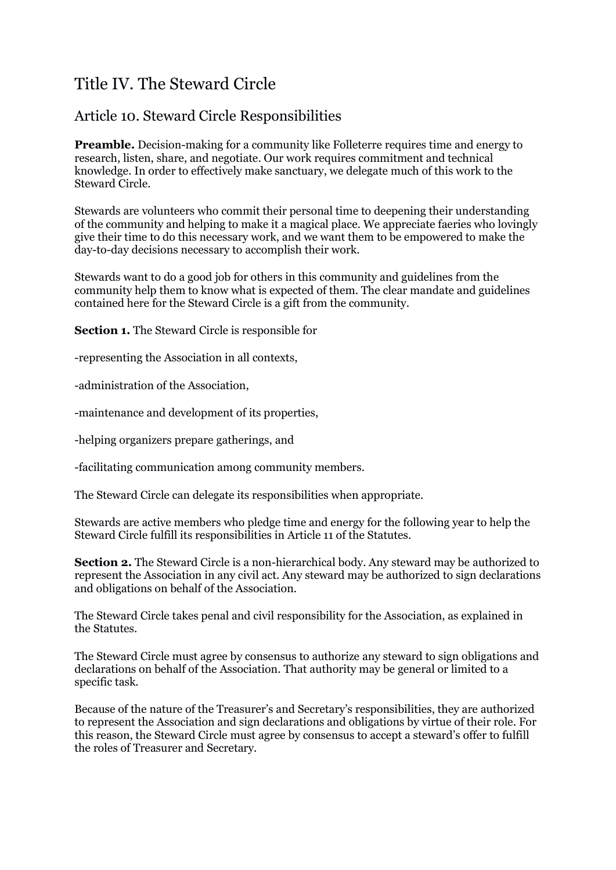# Title IV. The Steward Circle

### Article 10. Steward Circle Responsibilities

**Preamble.** Decision-making for a community like Folleterre requires time and energy to research, listen, share, and negotiate. Our work requires commitment and technical knowledge. In order to effectively make sanctuary, we delegate much of this work to the Steward Circle.

Stewards are volunteers who commit their personal time to deepening their understanding of the community and helping to make it a magical place. We appreciate faeries who lovingly give their time to do this necessary work, and we want them to be empowered to make the day-to-day decisions necessary to accomplish their work.

Stewards want to do a good job for others in this community and guidelines from the community help them to know what is expected of them. The clear mandate and guidelines contained here for the Steward Circle is a gift from the community.

**Section 1.** The Steward Circle is responsible for

-representing the Association in all contexts,

-administration of the Association,

-maintenance and development of its properties,

-helping organizers prepare gatherings, and

-facilitating communication among community members.

The Steward Circle can delegate its responsibilities when appropriate.

Stewards are active members who pledge time and energy for the following year to help the Steward Circle fulfill its responsibilities in Article 11 of the Statutes.

**Section 2.** The Steward Circle is a non-hierarchical body. Any steward may be authorized to represent the Association in any civil act. Any steward may be authorized to sign declarations and obligations on behalf of the Association.

The Steward Circle takes penal and civil responsibility for the Association, as explained in the Statutes.

The Steward Circle must agree by consensus to authorize any steward to sign obligations and declarations on behalf of the Association. That authority may be general or limited to a specific task.

Because of the nature of the Treasurer's and Secretary's responsibilities, they are authorized to represent the Association and sign declarations and obligations by virtue of their role. For this reason, the Steward Circle must agree by consensus to accept a steward's offer to fulfill the roles of Treasurer and Secretary.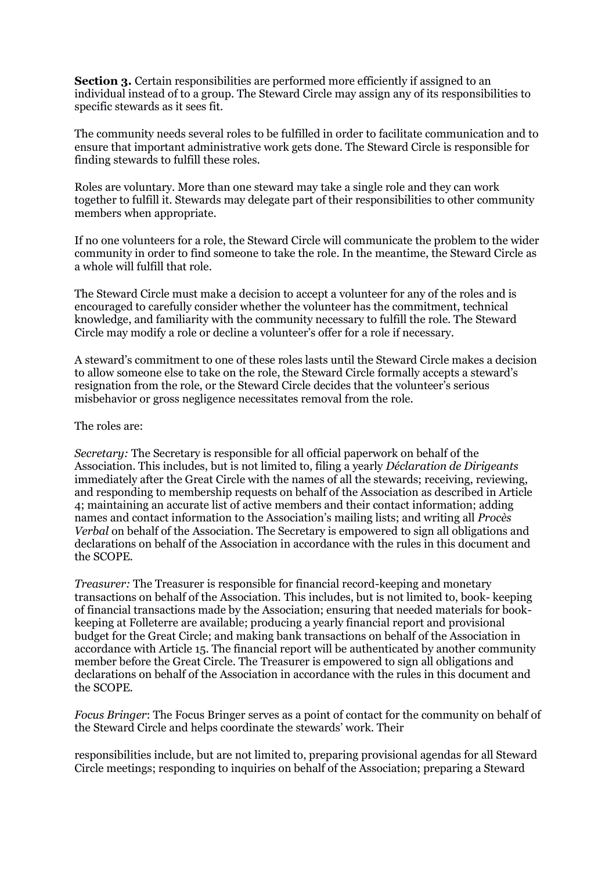**Section 3.** Certain responsibilities are performed more efficiently if assigned to an individual instead of to a group. The Steward Circle may assign any of its responsibilities to specific stewards as it sees fit.

The community needs several roles to be fulfilled in order to facilitate communication and to ensure that important administrative work gets done. The Steward Circle is responsible for finding stewards to fulfill these roles.

Roles are voluntary. More than one steward may take a single role and they can work together to fulfill it. Stewards may delegate part of their responsibilities to other community members when appropriate.

If no one volunteers for a role, the Steward Circle will communicate the problem to the wider community in order to find someone to take the role. In the meantime, the Steward Circle as a whole will fulfill that role.

The Steward Circle must make a decision to accept a volunteer for any of the roles and is encouraged to carefully consider whether the volunteer has the commitment, technical knowledge, and familiarity with the community necessary to fulfill the role. The Steward Circle may modify a role or decline a volunteer's offer for a role if necessary.

A steward's commitment to one of these roles lasts until the Steward Circle makes a decision to allow someone else to take on the role, the Steward Circle formally accepts a steward's resignation from the role, or the Steward Circle decides that the volunteer's serious misbehavior or gross negligence necessitates removal from the role.

The roles are:

*Secretary:* The Secretary is responsible for all official paperwork on behalf of the Association. This includes, but is not limited to, filing a yearly *Déclaration de Dirigeants*  immediately after the Great Circle with the names of all the stewards; receiving, reviewing, and responding to membership requests on behalf of the Association as described in Article 4; maintaining an accurate list of active members and their contact information; adding names and contact information to the Association's mailing lists; and writing all *Procès Verbal* on behalf of the Association. The Secretary is empowered to sign all obligations and declarations on behalf of the Association in accordance with the rules in this document and the SCOPE.

*Treasurer:* The Treasurer is responsible for financial record-keeping and monetary transactions on behalf of the Association. This includes, but is not limited to, book- keeping of financial transactions made by the Association; ensuring that needed materials for bookkeeping at Folleterre are available; producing a yearly financial report and provisional budget for the Great Circle; and making bank transactions on behalf of the Association in accordance with Article 15. The financial report will be authenticated by another community member before the Great Circle. The Treasurer is empowered to sign all obligations and declarations on behalf of the Association in accordance with the rules in this document and the SCOPE.

*Focus Bringer*: The Focus Bringer serves as a point of contact for the community on behalf of the Steward Circle and helps coordinate the stewards' work. Their

responsibilities include, but are not limited to, preparing provisional agendas for all Steward Circle meetings; responding to inquiries on behalf of the Association; preparing a Steward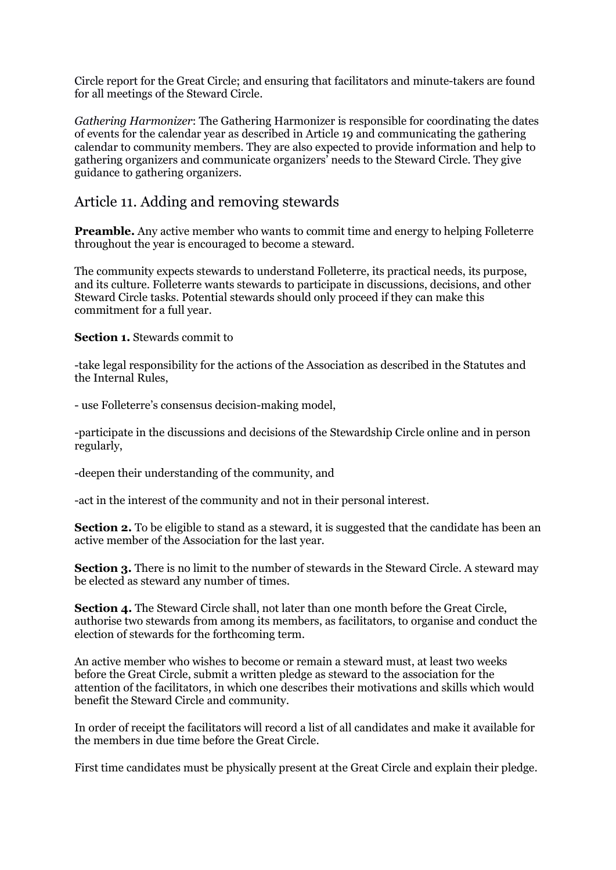Circle report for the Great Circle; and ensuring that facilitators and minute-takers are found for all meetings of the Steward Circle.

*Gathering Harmonizer*: The Gathering Harmonizer is responsible for coordinating the dates of events for the calendar year as described in Article 19 and communicating the gathering calendar to community members. They are also expected to provide information and help to gathering organizers and communicate organizers' needs to the Steward Circle. They give guidance to gathering organizers.

#### Article 11. Adding and removing stewards

**Preamble.** Any active member who wants to commit time and energy to helping Folleterre throughout the year is encouraged to become a steward.

The community expects stewards to understand Folleterre, its practical needs, its purpose, and its culture. Folleterre wants stewards to participate in discussions, decisions, and other Steward Circle tasks. Potential stewards should only proceed if they can make this commitment for a full year.

**Section 1.** Stewards commit to

-take legal responsibility for the actions of the Association as described in the Statutes and the Internal Rules,

- use Folleterre's consensus decision-making model,

-participate in the discussions and decisions of the Stewardship Circle online and in person regularly,

-deepen their understanding of the community, and

-act in the interest of the community and not in their personal interest.

**Section 2.** To be eligible to stand as a steward, it is suggested that the candidate has been an active member of the Association for the last year.

**Section 3.** There is no limit to the number of stewards in the Steward Circle. A steward may be elected as steward any number of times.

**Section 4.** The Steward Circle shall, not later than one month before the Great Circle, authorise two stewards from among its members, as facilitators, to organise and conduct the election of stewards for the forthcoming term.

An active member who wishes to become or remain a steward must, at least two weeks before the Great Circle, submit a written pledge as steward to the association for the attention of the facilitators, in which one describes their motivations and skills which would benefit the Steward Circle and community.

In order of receipt the facilitators will record a list of all candidates and make it available for the members in due time before the Great Circle.

First time candidates must be physically present at the Great Circle and explain their pledge.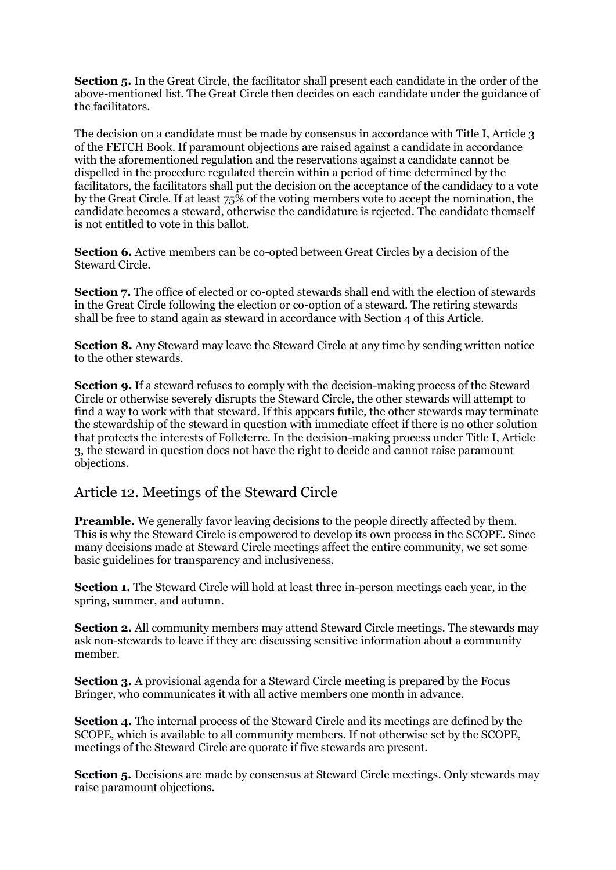**Section 5.** In the Great Circle, the facilitator shall present each candidate in the order of the above-mentioned list. The Great Circle then decides on each candidate under the guidance of the facilitators.

The decision on a candidate must be made by consensus in accordance with Title I, Article 3 of the FETCH Book. If paramount objections are raised against a candidate in accordance with the aforementioned regulation and the reservations against a candidate cannot be dispelled in the procedure regulated therein within a period of time determined by the facilitators, the facilitators shall put the decision on the acceptance of the candidacy to a vote by the Great Circle. If at least 75% of the voting members vote to accept the nomination, the candidate becomes a steward, otherwise the candidature is rejected. The candidate themself is not entitled to vote in this ballot.

**Section 6.** Active members can be co-opted between Great Circles by a decision of the Steward Circle.

**Section 7.** The office of elected or co-opted stewards shall end with the election of stewards in the Great Circle following the election or co-option of a steward. The retiring stewards shall be free to stand again as steward in accordance with Section 4 of this Article.

**Section 8.** Any Steward may leave the Steward Circle at any time by sending written notice to the other stewards.

**Section 9.** If a steward refuses to comply with the decision-making process of the Steward Circle or otherwise severely disrupts the Steward Circle, the other stewards will attempt to find a way to work with that steward. If this appears futile, the other stewards may terminate the stewardship of the steward in question with immediate effect if there is no other solution that protects the interests of Folleterre. In the decision-making process under Title I, Article 3, the steward in question does not have the right to decide and cannot raise paramount objections.

#### Article 12. Meetings of the Steward Circle

**Preamble.** We generally favor leaving decisions to the people directly affected by them. This is why the Steward Circle is empowered to develop its own process in the SCOPE. Since many decisions made at Steward Circle meetings affect the entire community, we set some basic guidelines for transparency and inclusiveness.

**Section 1.** The Steward Circle will hold at least three in-person meetings each year, in the spring, summer, and autumn.

**Section 2.** All community members may attend Steward Circle meetings. The stewards may ask non-stewards to leave if they are discussing sensitive information about a community member.

**Section 3.** A provisional agenda for a Steward Circle meeting is prepared by the Focus Bringer, who communicates it with all active members one month in advance.

**Section 4.** The internal process of the Steward Circle and its meetings are defined by the SCOPE, which is available to all community members. If not otherwise set by the SCOPE, meetings of the Steward Circle are quorate if five stewards are present.

**Section 5.** Decisions are made by consensus at Steward Circle meetings. Only stewards may raise paramount objections.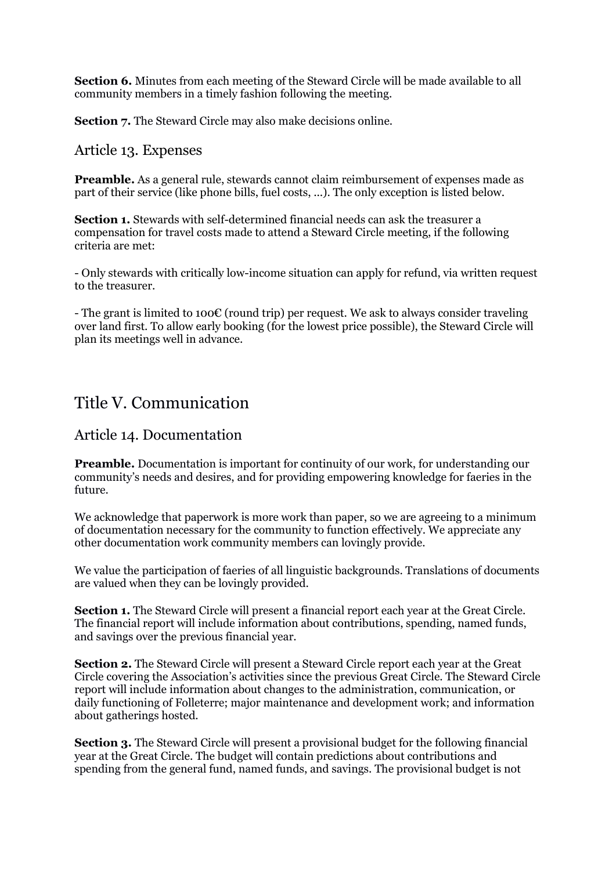**Section 6.** Minutes from each meeting of the Steward Circle will be made available to all community members in a timely fashion following the meeting.

**Section 7.** The Steward Circle may also make decisions online.

#### Article 13. Expenses

**Preamble.** As a general rule, stewards cannot claim reimbursement of expenses made as part of their service (like phone bills, fuel costs, ...). The only exception is listed below.

**Section 1.** Stewards with self-determined financial needs can ask the treasurer a compensation for travel costs made to attend a Steward Circle meeting, if the following criteria are met:

- Only stewards with critically low-income situation can apply for refund, via written request to the treasurer.

- The grant is limited to 100€ (round trip) per request. We ask to always consider traveling over land first. To allow early booking (for the lowest price possible), the Steward Circle will plan its meetings well in advance.

### Title V. Communication

#### Article 14. Documentation

**Preamble.** Documentation is important for continuity of our work, for understanding our community's needs and desires, and for providing empowering knowledge for faeries in the future.

We acknowledge that paperwork is more work than paper, so we are agreeing to a minimum of documentation necessary for the community to function effectively. We appreciate any other documentation work community members can lovingly provide.

We value the participation of faeries of all linguistic backgrounds. Translations of documents are valued when they can be lovingly provided.

**Section 1.** The Steward Circle will present a financial report each year at the Great Circle. The financial report will include information about contributions, spending, named funds, and savings over the previous financial year.

**Section 2.** The Steward Circle will present a Steward Circle report each year at the Great Circle covering the Association's activities since the previous Great Circle. The Steward Circle report will include information about changes to the administration, communication, or daily functioning of Folleterre; major maintenance and development work; and information about gatherings hosted.

**Section 3.** The Steward Circle will present a provisional budget for the following financial year at the Great Circle. The budget will contain predictions about contributions and spending from the general fund, named funds, and savings. The provisional budget is not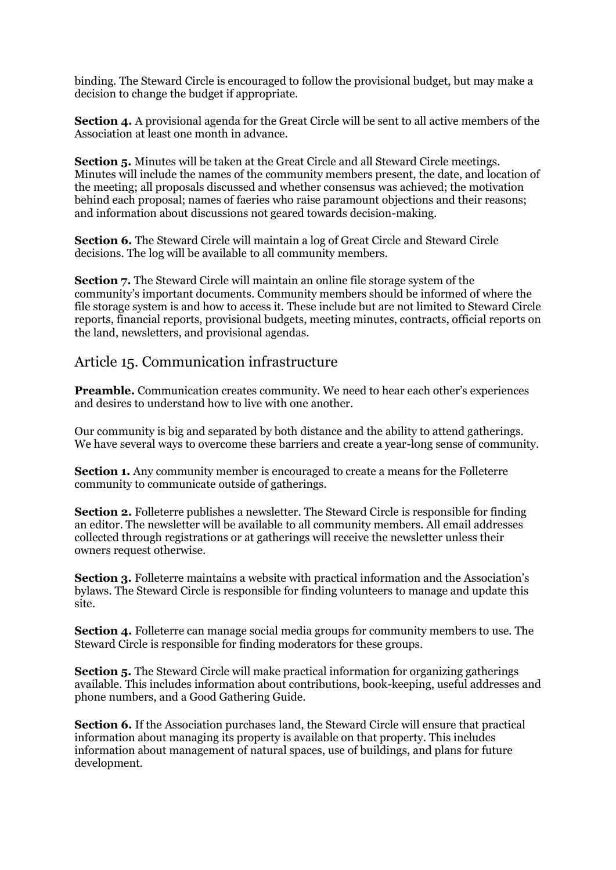binding. The Steward Circle is encouraged to follow the provisional budget, but may make a decision to change the budget if appropriate.

**Section 4.** A provisional agenda for the Great Circle will be sent to all active members of the Association at least one month in advance.

**Section 5.** Minutes will be taken at the Great Circle and all Steward Circle meetings. Minutes will include the names of the community members present, the date, and location of the meeting; all proposals discussed and whether consensus was achieved; the motivation behind each proposal; names of faeries who raise paramount objections and their reasons; and information about discussions not geared towards decision-making.

**Section 6.** The Steward Circle will maintain a log of Great Circle and Steward Circle decisions. The log will be available to all community members.

**Section 7.** The Steward Circle will maintain an online file storage system of the community's important documents. Community members should be informed of where the file storage system is and how to access it. These include but are not limited to Steward Circle reports, financial reports, provisional budgets, meeting minutes, contracts, official reports on the land, newsletters, and provisional agendas.

#### Article 15. Communication infrastructure

**Preamble.** Communication creates community. We need to hear each other's experiences and desires to understand how to live with one another.

Our community is big and separated by both distance and the ability to attend gatherings. We have several ways to overcome these barriers and create a year-long sense of community.

**Section 1.** Any community member is encouraged to create a means for the Folleterre community to communicate outside of gatherings.

**Section 2.** Folleterre publishes a newsletter. The Steward Circle is responsible for finding an editor. The newsletter will be available to all community members. All email addresses collected through registrations or at gatherings will receive the newsletter unless their owners request otherwise.

**Section 3.** Folleterre maintains a website with practical information and the Association's bylaws. The Steward Circle is responsible for finding volunteers to manage and update this site.

**Section 4.** Folleterre can manage social media groups for community members to use. The Steward Circle is responsible for finding moderators for these groups.

**Section 5.** The Steward Circle will make practical information for organizing gatherings available. This includes information about contributions, book-keeping, useful addresses and phone numbers, and a Good Gathering Guide.

**Section 6.** If the Association purchases land, the Steward Circle will ensure that practical information about managing its property is available on that property. This includes information about management of natural spaces, use of buildings, and plans for future development.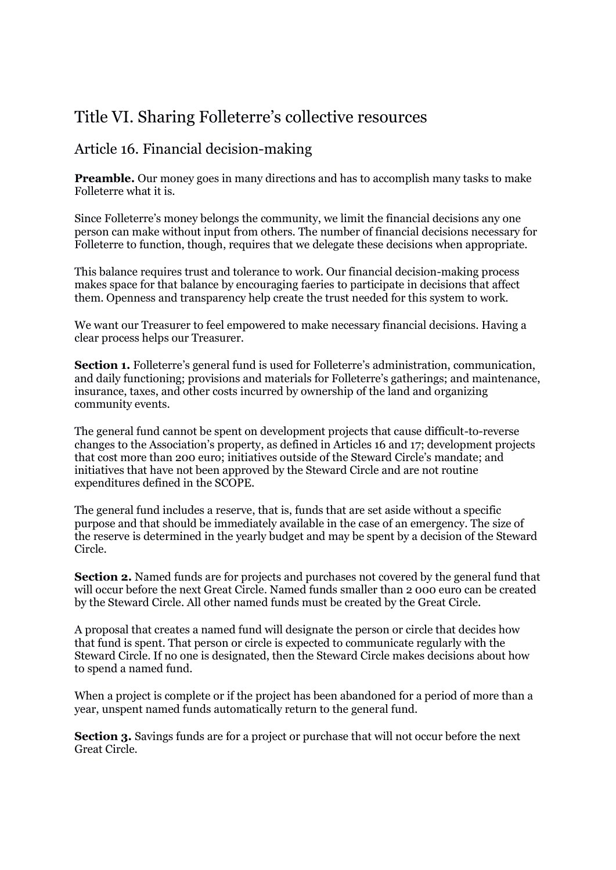# Title VI. Sharing Folleterre's collective resources

#### Article 16. Financial decision-making

**Preamble.** Our money goes in many directions and has to accomplish many tasks to make Folleterre what it is.

Since Folleterre's money belongs the community, we limit the financial decisions any one person can make without input from others. The number of financial decisions necessary for Folleterre to function, though, requires that we delegate these decisions when appropriate.

This balance requires trust and tolerance to work. Our financial decision-making process makes space for that balance by encouraging faeries to participate in decisions that affect them. Openness and transparency help create the trust needed for this system to work.

We want our Treasurer to feel empowered to make necessary financial decisions. Having a clear process helps our Treasurer.

**Section 1.** Folleterre's general fund is used for Folleterre's administration, communication, and daily functioning; provisions and materials for Folleterre's gatherings; and maintenance, insurance, taxes, and other costs incurred by ownership of the land and organizing community events.

The general fund cannot be spent on development projects that cause difficult-to-reverse changes to the Association's property, as defined in Articles 16 and 17; development projects that cost more than 200 euro; initiatives outside of the Steward Circle's mandate; and initiatives that have not been approved by the Steward Circle and are not routine expenditures defined in the SCOPE.

The general fund includes a reserve, that is, funds that are set aside without a specific purpose and that should be immediately available in the case of an emergency. The size of the reserve is determined in the yearly budget and may be spent by a decision of the Steward Circle.

**Section 2.** Named funds are for projects and purchases not covered by the general fund that will occur before the next Great Circle. Named funds smaller than 2 000 euro can be created by the Steward Circle. All other named funds must be created by the Great Circle.

A proposal that creates a named fund will designate the person or circle that decides how that fund is spent. That person or circle is expected to communicate regularly with the Steward Circle. If no one is designated, then the Steward Circle makes decisions about how to spend a named fund.

When a project is complete or if the project has been abandoned for a period of more than a year, unspent named funds automatically return to the general fund.

**Section 3.** Savings funds are for a project or purchase that will not occur before the next Great Circle.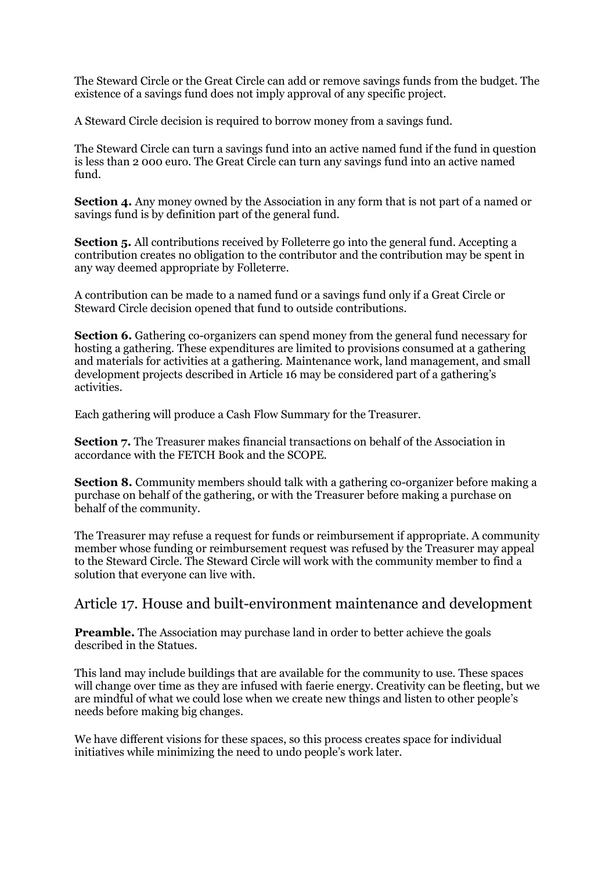The Steward Circle or the Great Circle can add or remove savings funds from the budget. The existence of a savings fund does not imply approval of any specific project.

A Steward Circle decision is required to borrow money from a savings fund.

The Steward Circle can turn a savings fund into an active named fund if the fund in question is less than 2 000 euro. The Great Circle can turn any savings fund into an active named fund.

**Section 4.** Any money owned by the Association in any form that is not part of a named or savings fund is by definition part of the general fund.

**Section 5.** All contributions received by Folleterre go into the general fund. Accepting a contribution creates no obligation to the contributor and the contribution may be spent in any way deemed appropriate by Folleterre.

A contribution can be made to a named fund or a savings fund only if a Great Circle or Steward Circle decision opened that fund to outside contributions.

**Section 6.** Gathering co-organizers can spend money from the general fund necessary for hosting a gathering. These expenditures are limited to provisions consumed at a gathering and materials for activities at a gathering. Maintenance work, land management, and small development projects described in Article 16 may be considered part of a gathering's activities.

Each gathering will produce a Cash Flow Summary for the Treasurer.

**Section 7.** The Treasurer makes financial transactions on behalf of the Association in accordance with the FETCH Book and the SCOPE.

**Section 8.** Community members should talk with a gathering co-organizer before making a purchase on behalf of the gathering, or with the Treasurer before making a purchase on behalf of the community.

The Treasurer may refuse a request for funds or reimbursement if appropriate. A community member whose funding or reimbursement request was refused by the Treasurer may appeal to the Steward Circle. The Steward Circle will work with the community member to find a solution that everyone can live with.

#### Article 17. House and built-environment maintenance and development

**Preamble.** The Association may purchase land in order to better achieve the goals described in the Statues.

This land may include buildings that are available for the community to use. These spaces will change over time as they are infused with faerie energy. Creativity can be fleeting, but we are mindful of what we could lose when we create new things and listen to other people's needs before making big changes.

We have different visions for these spaces, so this process creates space for individual initiatives while minimizing the need to undo people's work later.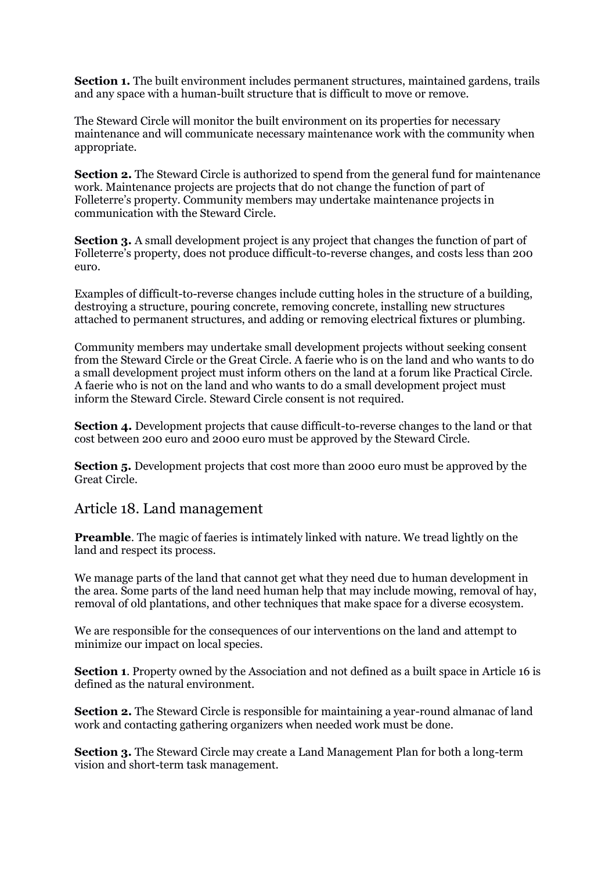**Section 1.** The built environment includes permanent structures, maintained gardens, trails and any space with a human-built structure that is difficult to move or remove.

The Steward Circle will monitor the built environment on its properties for necessary maintenance and will communicate necessary maintenance work with the community when appropriate.

**Section 2.** The Steward Circle is authorized to spend from the general fund for maintenance work. Maintenance projects are projects that do not change the function of part of Folleterre's property. Community members may undertake maintenance projects in communication with the Steward Circle.

**Section 3.** A small development project is any project that changes the function of part of Folleterre's property, does not produce difficult-to-reverse changes, and costs less than 200 euro.

Examples of difficult-to-reverse changes include cutting holes in the structure of a building, destroying a structure, pouring concrete, removing concrete, installing new structures attached to permanent structures, and adding or removing electrical fixtures or plumbing.

Community members may undertake small development projects without seeking consent from the Steward Circle or the Great Circle. A faerie who is on the land and who wants to do a small development project must inform others on the land at a forum like Practical Circle. A faerie who is not on the land and who wants to do a small development project must inform the Steward Circle. Steward Circle consent is not required.

**Section 4.** Development projects that cause difficult-to-reverse changes to the land or that cost between 200 euro and 2000 euro must be approved by the Steward Circle.

**Section 5.** Development projects that cost more than 2000 euro must be approved by the Great Circle.

#### Article 18. Land management

**Preamble**. The magic of faeries is intimately linked with nature. We tread lightly on the land and respect its process.

We manage parts of the land that cannot get what they need due to human development in the area. Some parts of the land need human help that may include mowing, removal of hay, removal of old plantations, and other techniques that make space for a diverse ecosystem.

We are responsible for the consequences of our interventions on the land and attempt to minimize our impact on local species.

**Section 1**. Property owned by the Association and not defined as a built space in Article 16 is defined as the natural environment.

**Section 2.** The Steward Circle is responsible for maintaining a year-round almanac of land work and contacting gathering organizers when needed work must be done.

**Section 3.** The Steward Circle may create a Land Management Plan for both a long-term vision and short-term task management.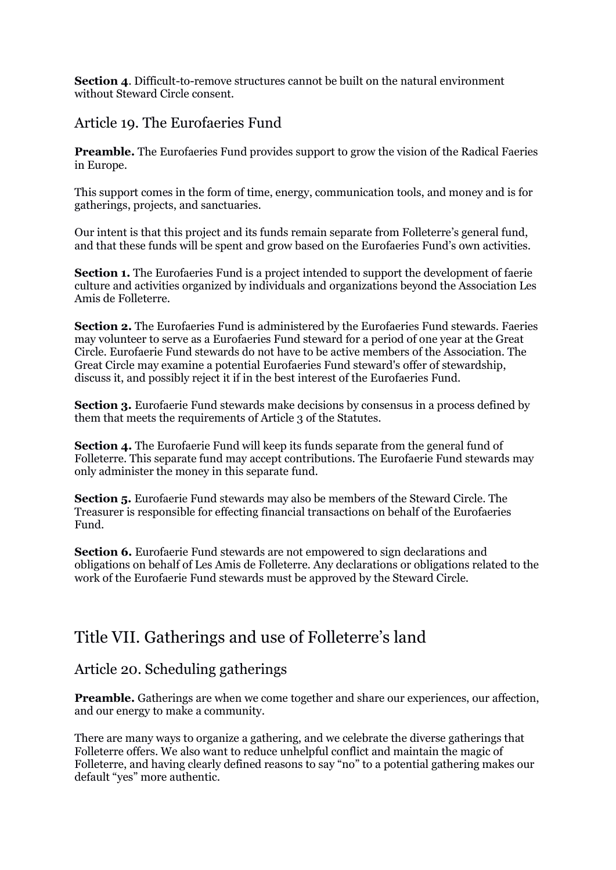**Section 4.** Difficult-to-remove structures cannot be built on the natural environment without Steward Circle consent.

#### Article 19. The Eurofaeries Fund

**Preamble.** The Eurofaeries Fund provides support to grow the vision of the Radical Faeries in Europe.

This support comes in the form of time, energy, communication tools, and money and is for gatherings, projects, and sanctuaries.

Our intent is that this project and its funds remain separate from Folleterre's general fund, and that these funds will be spent and grow based on the Eurofaeries Fund's own activities.

**Section 1.** The Eurofaeries Fund is a project intended to support the development of faerie culture and activities organized by individuals and organizations beyond the Association Les Amis de Folleterre.

**Section 2.** The Eurofaeries Fund is administered by the Eurofaeries Fund stewards. Faeries may volunteer to serve as a Eurofaeries Fund steward for a period of one year at the Great Circle. Eurofaerie Fund stewards do not have to be active members of the Association. The Great Circle may examine a potential Eurofaeries Fund steward's offer of stewardship, discuss it, and possibly reject it if in the best interest of the Eurofaeries Fund.

**Section 3.** Eurofaerie Fund stewards make decisions by consensus in a process defined by them that meets the requirements of Article 3 of the Statutes.

**Section 4.** The Eurofaerie Fund will keep its funds separate from the general fund of Folleterre. This separate fund may accept contributions. The Eurofaerie Fund stewards may only administer the money in this separate fund.

**Section 5.** Eurofaerie Fund stewards may also be members of the Steward Circle. The Treasurer is responsible for effecting financial transactions on behalf of the Eurofaeries Fund.

**Section 6.** Eurofaerie Fund stewards are not empowered to sign declarations and obligations on behalf of Les Amis de Folleterre. Any declarations or obligations related to the work of the Eurofaerie Fund stewards must be approved by the Steward Circle.

### Title VII. Gatherings and use of Folleterre's land

#### Article 20. Scheduling gatherings

**Preamble.** Gatherings are when we come together and share our experiences, our affection, and our energy to make a community.

There are many ways to organize a gathering, and we celebrate the diverse gatherings that Folleterre offers. We also want to reduce unhelpful conflict and maintain the magic of Folleterre, and having clearly defined reasons to say "no" to a potential gathering makes our default "yes" more authentic.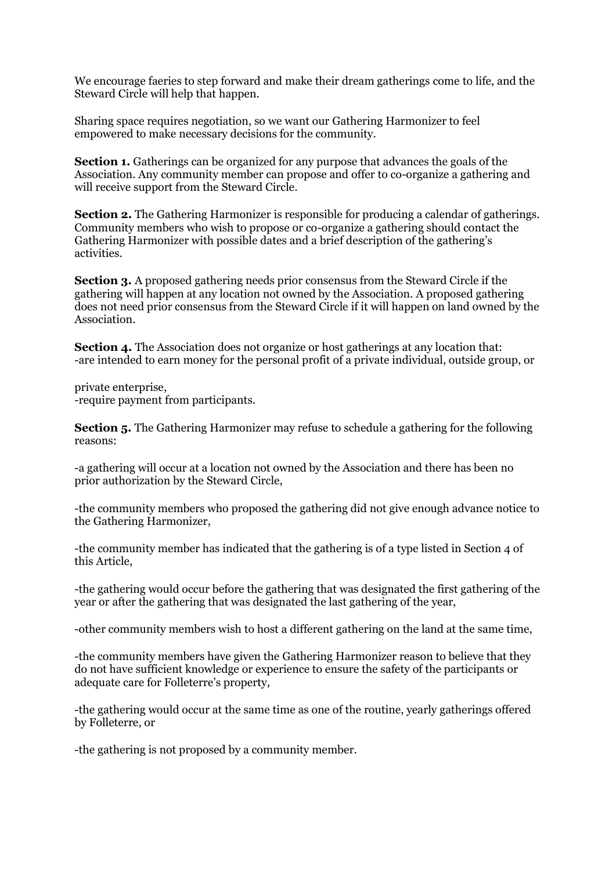We encourage faeries to step forward and make their dream gatherings come to life, and the Steward Circle will help that happen.

Sharing space requires negotiation, so we want our Gathering Harmonizer to feel empowered to make necessary decisions for the community.

**Section 1.** Gatherings can be organized for any purpose that advances the goals of the Association. Any community member can propose and offer to co-organize a gathering and will receive support from the Steward Circle.

**Section 2.** The Gathering Harmonizer is responsible for producing a calendar of gatherings. Community members who wish to propose or co-organize a gathering should contact the Gathering Harmonizer with possible dates and a brief description of the gathering's activities.

**Section 3.** A proposed gathering needs prior consensus from the Steward Circle if the gathering will happen at any location not owned by the Association. A proposed gathering does not need prior consensus from the Steward Circle if it will happen on land owned by the Association.

**Section 4.** The Association does not organize or host gatherings at any location that: -are intended to earn money for the personal profit of a private individual, outside group, or

private enterprise, -require payment from participants.

**Section 5.** The Gathering Harmonizer may refuse to schedule a gathering for the following reasons:

-a gathering will occur at a location not owned by the Association and there has been no prior authorization by the Steward Circle,

-the community members who proposed the gathering did not give enough advance notice to the Gathering Harmonizer,

-the community member has indicated that the gathering is of a type listed in Section 4 of this Article,

-the gathering would occur before the gathering that was designated the first gathering of the year or after the gathering that was designated the last gathering of the year,

-other community members wish to host a different gathering on the land at the same time,

-the community members have given the Gathering Harmonizer reason to believe that they do not have sufficient knowledge or experience to ensure the safety of the participants or adequate care for Folleterre's property,

-the gathering would occur at the same time as one of the routine, yearly gatherings offered by Folleterre, or

-the gathering is not proposed by a community member.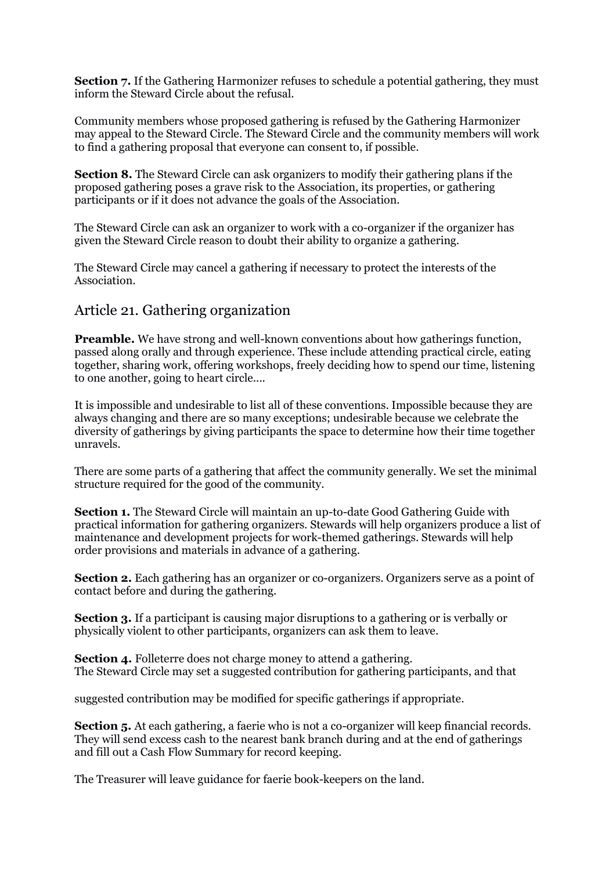**Section 7.** If the Gathering Harmonizer refuses to schedule a potential gathering, they must inform the Steward Circle about the refusal.

Community members whose proposed gathering is refused by the Gathering Harmonizer may appeal to the Steward Circle. The Steward Circle and the community members will work to find a gathering proposal that everyone can consent to, if possible.

**Section 8.** The Steward Circle can ask organizers to modify their gathering plans if the proposed gathering poses a grave risk to the Association, its properties, or gathering participants or if it does not advance the goals of the Association.

The Steward Circle can ask an organizer to work with a co-organizer if the organizer has given the Steward Circle reason to doubt their ability to organize a gathering.

The Steward Circle may cancel a gathering if necessary to protect the interests of the Association.

#### Article 21. Gathering organization

**Preamble.** We have strong and well-known conventions about how gatherings function, passed along orally and through experience. These include attending practical circle, eating together, sharing work, offering workshops, freely deciding how to spend our time, listening to one another, going to heart circle....

It is impossible and undesirable to list all of these conventions. Impossible because they are always changing and there are so many exceptions; undesirable because we celebrate the diversity of gatherings by giving participants the space to determine how their time together unravels.

There are some parts of a gathering that affect the community generally. We set the minimal structure required for the good of the community.

**Section 1.** The Steward Circle will maintain an up-to-date Good Gathering Guide with practical information for gathering organizers. Stewards will help organizers produce a list of maintenance and development projects for work-themed gatherings. Stewards will help order provisions and materials in advance of a gathering.

**Section 2.** Each gathering has an organizer or co-organizers. Organizers serve as a point of contact before and during the gathering.

**Section 3.** If a participant is causing major disruptions to a gathering or is verbally or physically violent to other participants, organizers can ask them to leave.

**Section 4.** Folleterre does not charge money to attend a gathering. The Steward Circle may set a suggested contribution for gathering participants, and that

suggested contribution may be modified for specific gatherings if appropriate.

**Section 5.** At each gathering, a faerie who is not a co-organizer will keep financial records. They will send excess cash to the nearest bank branch during and at the end of gatherings and fill out a Cash Flow Summary for record keeping.

The Treasurer will leave guidance for faerie book-keepers on the land.